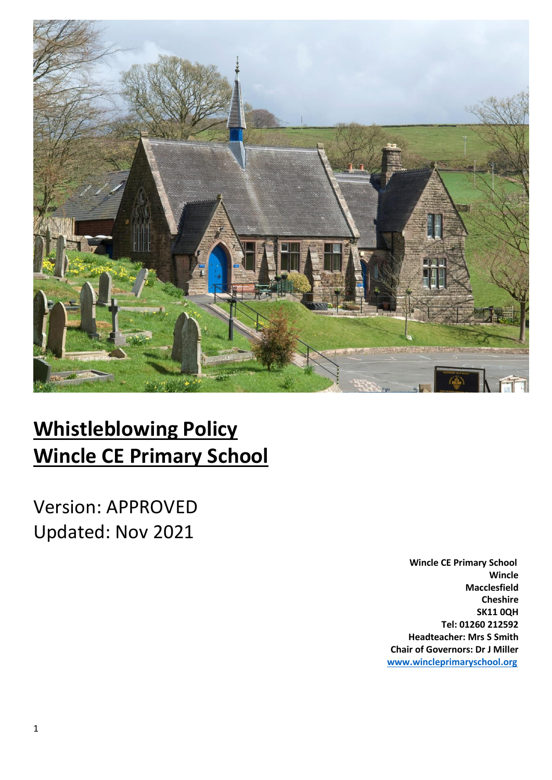

# **Whistleblowing Policy Wincle CE Primary School**

Version: APPROVED Updated: Nov 2021

> **Wincle CE Primary School Wincle Macclesfield Cheshire SK11 0QH Tel: 01260 212592 Headteacher: Mrs S Smith Chair of Governors: Dr J Miller [www.wincleprimaryschool.org](http://www.wincleprimaryschool.org/)**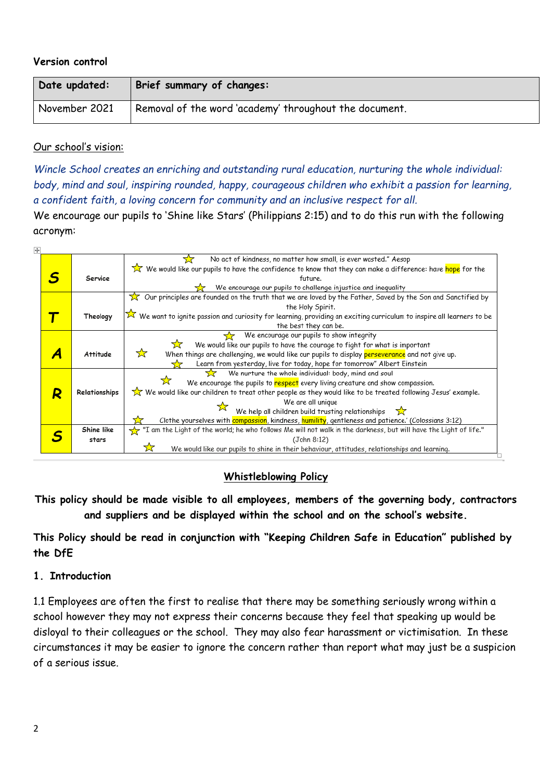#### **Version control**

| Date updated: | Brief summary of changes:                              |
|---------------|--------------------------------------------------------|
| November 2021 | Removal of the word 'academy' throughout the document. |

#### Our school's vision:

*Wincle School creates an enriching and outstanding rural education, nurturing the whole individual: body, mind and soul, inspiring rounded, happy, courageous children who exhibit a passion for learning, a confident faith, a loving concern for community and an inclusive respect for all.*

We encourage our pupils to 'Shine like Stars' (Philippians 2:15) and to do this run with the following acronym:

| ښ |   |                 |                                                                                                                               |
|---|---|-----------------|-------------------------------------------------------------------------------------------------------------------------------|
|   |   |                 | No act of kindness, no matter how small, is ever wasted." Aesop<br>₩                                                          |
|   |   |                 | We would like our pupils to have the confidence to know that they can make a difference: have <mark>hope</mark> for the       |
|   |   | Service         | future.                                                                                                                       |
|   |   |                 | We encourage our pupils to challenge injustice and inequality                                                                 |
|   |   |                 | $\overline{\chi}$ Our principles are founded on the truth that we are loved by the Father, Saved by the Son and Sanctified by |
|   |   |                 | the Holy Spirit.                                                                                                              |
|   |   | Theology        | We want to ignite passion and curiosity for learning, providing an exciting curriculum to inspire all learners to be          |
|   |   |                 | the best they can be.                                                                                                         |
|   |   |                 | We encourage our pupils to show integrity                                                                                     |
|   |   |                 | <del>ح ج</del><br>We would like our pupils to have the courage to fight for what is important                                 |
|   |   | <b>Attitude</b> | ☆<br>When things are challenging, we would like our pupils to display perseverance and not give up.                           |
|   |   |                 | Learn from yesterday, live for today, hope for tomorrow" Albert Einstein                                                      |
|   |   |                 | We nurture the whole individual: body, mind and soul<br>52                                                                    |
|   |   |                 | We encourage the pupils to respect every living creature and show compassion.                                                 |
|   | R | Relationships   | We would like our children to treat other people as they would like to be treated following Jesus' example.                   |
|   |   |                 | We are all unique                                                                                                             |
|   |   |                 | We help all children build trusting relationships $\sum$                                                                      |
|   |   |                 | Clothe yourselves with compassion, kindness, humility, gentleness and patience.' (Colossians 3:12)                            |
|   |   | Shine like      | "I am the Light of the world; he who follows Me will not walk in the darkness, but will have the Light of life."              |
|   |   | stars           | (John 8:12)                                                                                                                   |
|   |   |                 | We would like our pupils to shine in their behaviour, attitudes, relationships and learning.                                  |
|   |   |                 |                                                                                                                               |

#### **Whistleblowing Policy**

**This policy should be made visible to all employees, members of the governing body, contractors and suppliers and be displayed within the school and on the school's website.** 

**This Policy should be read in conjunction with "Keeping Children Safe in Education" published by the DfE**

#### **1. Introduction**

1.1 Employees are often the first to realise that there may be something seriously wrong within a school however they may not express their concerns because they feel that speaking up would be disloyal to their colleagues or the school. They may also fear harassment or victimisation. In these circumstances it may be easier to ignore the concern rather than report what may just be a suspicion of a serious issue.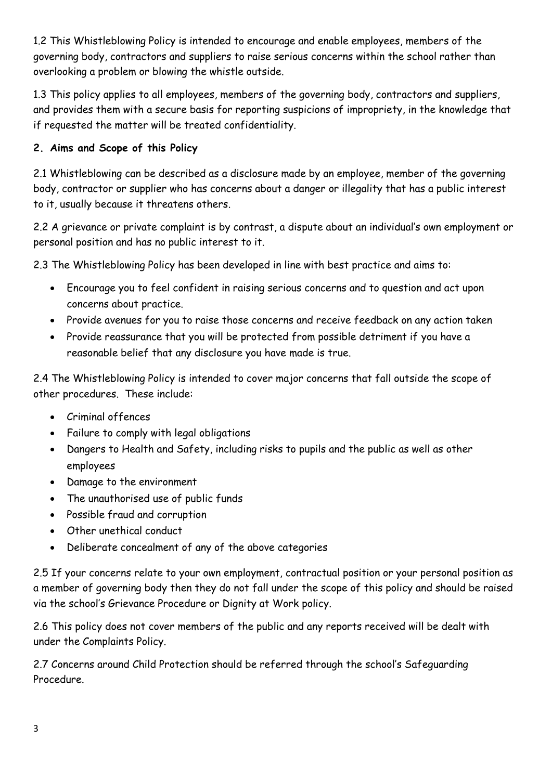1.2 This Whistleblowing Policy is intended to encourage and enable employees, members of the governing body, contractors and suppliers to raise serious concerns within the school rather than overlooking a problem or blowing the whistle outside.

1.3 This policy applies to all employees, members of the governing body, contractors and suppliers, and provides them with a secure basis for reporting suspicions of impropriety, in the knowledge that if requested the matter will be treated confidentiality.

# **2. Aims and Scope of this Policy**

2.1 Whistleblowing can be described as a disclosure made by an employee, member of the governing body, contractor or supplier who has concerns about a danger or illegality that has a public interest to it, usually because it threatens others.

2.2 A grievance or private complaint is by contrast, a dispute about an individual's own employment or personal position and has no public interest to it.

2.3 The Whistleblowing Policy has been developed in line with best practice and aims to:

- Encourage you to feel confident in raising serious concerns and to question and act upon concerns about practice.
- Provide avenues for you to raise those concerns and receive feedback on any action taken
- Provide reassurance that you will be protected from possible detriment if you have a reasonable belief that any disclosure you have made is true.

2.4 The Whistleblowing Policy is intended to cover major concerns that fall outside the scope of other procedures. These include:

- Criminal offences
- Failure to comply with legal obligations
- Dangers to Health and Safety, including risks to pupils and the public as well as other employees
- Damage to the environment
- The unauthorised use of public funds
- Possible fraud and corruption
- Other unethical conduct
- Deliberate concealment of any of the above categories

2.5 If your concerns relate to your own employment, contractual position or your personal position as a member of governing body then they do not fall under the scope of this policy and should be raised via the school's Grievance Procedure or Dignity at Work policy.

2.6 This policy does not cover members of the public and any reports received will be dealt with under the Complaints Policy.

2.7 Concerns around Child Protection should be referred through the school's Safeguarding Procedure.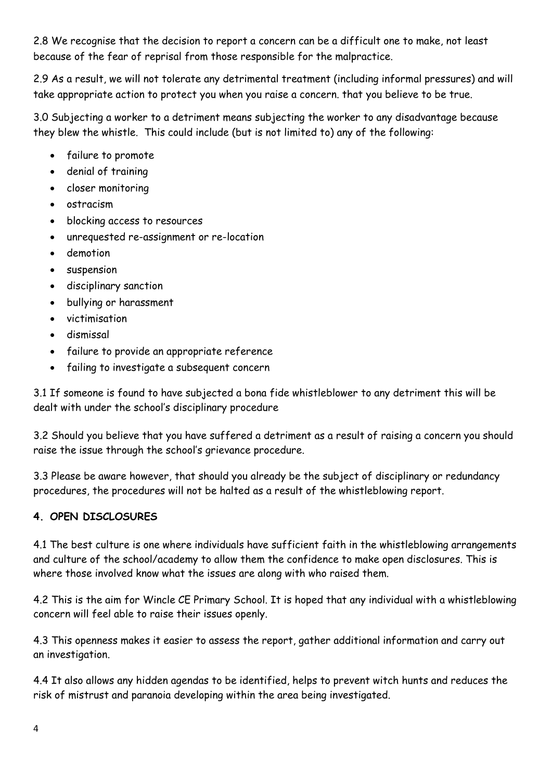2.8 We recognise that the decision to report a concern can be a difficult one to make, not least because of the fear of reprisal from those responsible for the malpractice.

2.9 As a result, we will not tolerate any detrimental treatment (including informal pressures) and will take appropriate action to protect you when you raise a concern. that you believe to be true.

3.0 Subjecting a worker to a detriment means subjecting the worker to any disadvantage because they blew the whistle. This could include (but is not limited to) any of the following:

- failure to promote
- denial of training
- closer monitoring
- ostracism
- blocking access to resources
- unrequested re-assignment or re-location
- demotion
- suspension
- disciplinary sanction
- bullying or harassment
- victimisation
- dismissal
- failure to provide an appropriate reference
- failing to investigate a subsequent concern

3.1 If someone is found to have subjected a bona fide whistleblower to any detriment this will be dealt with under the school's disciplinary procedure

3.2 Should you believe that you have suffered a detriment as a result of raising a concern you should raise the issue through the school's grievance procedure.

3.3 Please be aware however, that should you already be the subject of disciplinary or redundancy procedures, the procedures will not be halted as a result of the whistleblowing report.

#### **4. OPEN DISCLOSURES**

4.1 The best culture is one where individuals have sufficient faith in the whistleblowing arrangements and culture of the school/academy to allow them the confidence to make open disclosures. This is where those involved know what the issues are along with who raised them.

4.2 This is the aim for Wincle CE Primary School. It is hoped that any individual with a whistleblowing concern will feel able to raise their issues openly.

4.3 This openness makes it easier to assess the report, gather additional information and carry out an investigation.

4.4 It also allows any hidden agendas to be identified, helps to prevent witch hunts and reduces the risk of mistrust and paranoia developing within the area being investigated.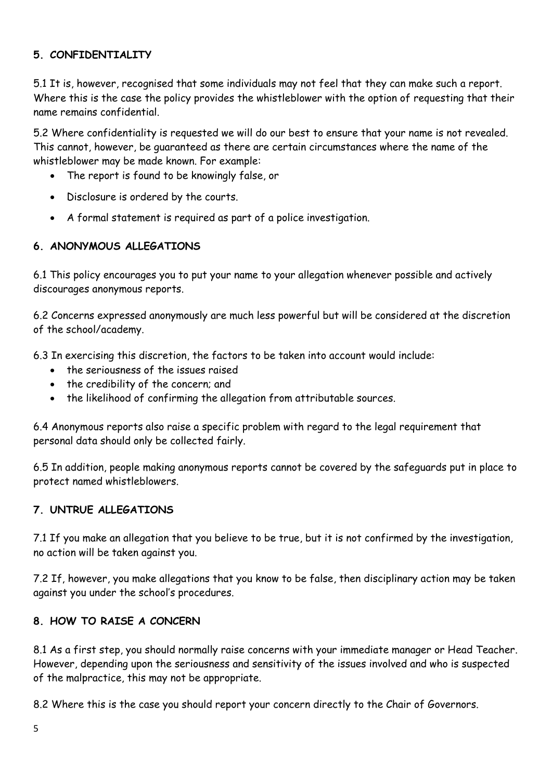# **5. CONFIDENTIALITY**

5.1 It is, however, recognised that some individuals may not feel that they can make such a report. Where this is the case the policy provides the whistleblower with the option of requesting that their name remains confidential.

5.2 Where confidentiality is requested we will do our best to ensure that your name is not revealed. This cannot, however, be guaranteed as there are certain circumstances where the name of the whistleblower may be made known. For example:

- The report is found to be knowingly false, or
- Disclosure is ordered by the courts.
- A formal statement is required as part of a police investigation.

#### **6. ANONYMOUS ALLEGATIONS**

6.1 This policy encourages you to put your name to your allegation whenever possible and actively discourages anonymous reports.

6.2 Concerns expressed anonymously are much less powerful but will be considered at the discretion of the school/academy.

6.3 In exercising this discretion, the factors to be taken into account would include:

- the seriousness of the issues raised
- the credibility of the concern; and
- the likelihood of confirming the allegation from attributable sources.

6.4 Anonymous reports also raise a specific problem with regard to the legal requirement that personal data should only be collected fairly.

6.5 In addition, people making anonymous reports cannot be covered by the safeguards put in place to protect named whistleblowers.

#### **7. UNTRUE ALLEGATIONS**

7.1 If you make an allegation that you believe to be true, but it is not confirmed by the investigation, no action will be taken against you.

7.2 If, however, you make allegations that you know to be false, then disciplinary action may be taken against you under the school's procedures.

#### **8. HOW TO RAISE A CONCERN**

8.1 As a first step, you should normally raise concerns with your immediate manager or Head Teacher. However, depending upon the seriousness and sensitivity of the issues involved and who is suspected of the malpractice, this may not be appropriate.

8.2 Where this is the case you should report your concern directly to the Chair of Governors.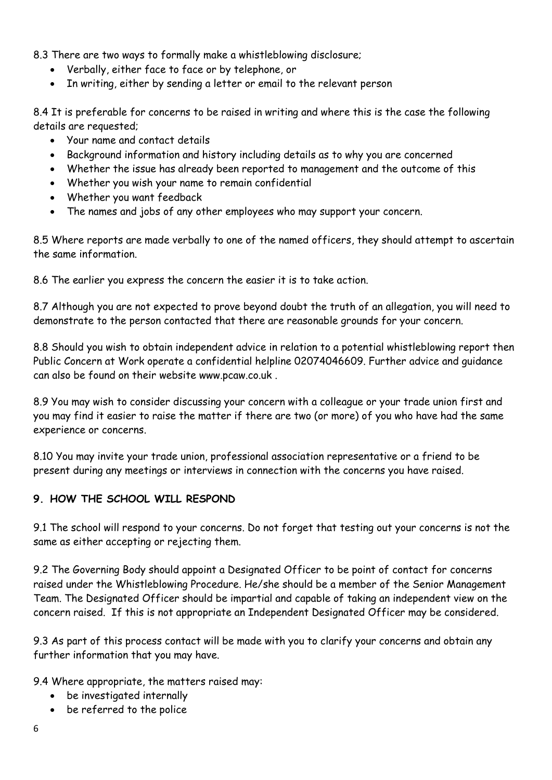8.3 There are two ways to formally make a whistleblowing disclosure;

- Verbally, either face to face or by telephone, or
- In writing, either by sending a letter or email to the relevant person

8.4 It is preferable for concerns to be raised in writing and where this is the case the following details are requested;

- Your name and contact details
- Background information and history including details as to why you are concerned
- Whether the issue has already been reported to management and the outcome of this
- Whether you wish your name to remain confidential
- Whether you want feedback
- The names and jobs of any other employees who may support your concern.

8.5 Where reports are made verbally to one of the named officers, they should attempt to ascertain the same information.

8.6 The earlier you express the concern the easier it is to take action.

8.7 Although you are not expected to prove beyond doubt the truth of an allegation, you will need to demonstrate to the person contacted that there are reasonable grounds for your concern.

8.8 Should you wish to obtain independent advice in relation to a potential whistleblowing report then Public Concern at Work operate a confidential helpline 02074046609. Further advice and guidance can also be found on their website www.pcaw.co.uk .

8.9 You may wish to consider discussing your concern with a colleague or your trade union first and you may find it easier to raise the matter if there are two (or more) of you who have had the same experience or concerns.

8.10 You may invite your trade union, professional association representative or a friend to be present during any meetings or interviews in connection with the concerns you have raised.

#### **9. HOW THE SCHOOL WILL RESPOND**

9.1 The school will respond to your concerns. Do not forget that testing out your concerns is not the same as either accepting or rejecting them.

9.2 The Governing Body should appoint a Designated Officer to be point of contact for concerns raised under the Whistleblowing Procedure. He/she should be a member of the Senior Management Team. The Designated Officer should be impartial and capable of taking an independent view on the concern raised. If this is not appropriate an Independent Designated Officer may be considered.

9.3 As part of this process contact will be made with you to clarify your concerns and obtain any further information that you may have.

9.4 Where appropriate, the matters raised may:

- be investigated internally
- be referred to the police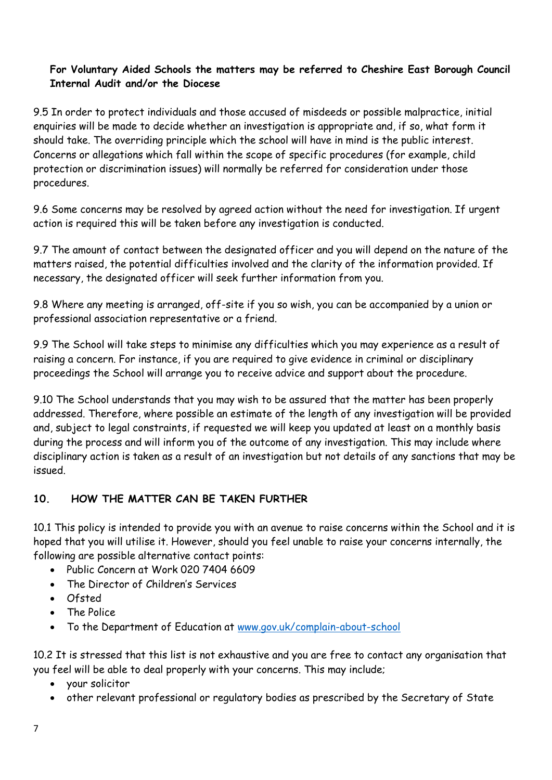# **For Voluntary Aided Schools the matters may be referred to Cheshire East Borough Council Internal Audit and/or the Diocese**

9.5 In order to protect individuals and those accused of misdeeds or possible malpractice, initial enquiries will be made to decide whether an investigation is appropriate and, if so, what form it should take. The overriding principle which the school will have in mind is the public interest. Concerns or allegations which fall within the scope of specific procedures (for example, child protection or discrimination issues) will normally be referred for consideration under those procedures.

9.6 Some concerns may be resolved by agreed action without the need for investigation. If urgent action is required this will be taken before any investigation is conducted.

9.7 The amount of contact between the designated officer and you will depend on the nature of the matters raised, the potential difficulties involved and the clarity of the information provided. If necessary, the designated officer will seek further information from you.

9.8 Where any meeting is arranged, off-site if you so wish, you can be accompanied by a union or professional association representative or a friend.

9.9 The School will take steps to minimise any difficulties which you may experience as a result of raising a concern. For instance, if you are required to give evidence in criminal or disciplinary proceedings the School will arrange you to receive advice and support about the procedure.

9.10 The School understands that you may wish to be assured that the matter has been properly addressed. Therefore, where possible an estimate of the length of any investigation will be provided and, subject to legal constraints, if requested we will keep you updated at least on a monthly basis during the process and will inform you of the outcome of any investigation. This may include where disciplinary action is taken as a result of an investigation but not details of any sanctions that may be issued.

# **10. HOW THE MATTER CAN BE TAKEN FURTHER**

10.1 This policy is intended to provide you with an avenue to raise concerns within the School and it is hoped that you will utilise it. However, should you feel unable to raise your concerns internally, the following are possible alternative contact points:

- Public Concern at Work 020 7404 6609
- The Director of Children's Services
- Ofsted
- The Police
- To the Department of Education at [www.gov.uk/complain-about-school](http://www.gov.uk/complain-about-school)

10.2 It is stressed that this list is not exhaustive and you are free to contact any organisation that you feel will be able to deal properly with your concerns. This may include;

- your solicitor
- other relevant professional or regulatory bodies as prescribed by the Secretary of State